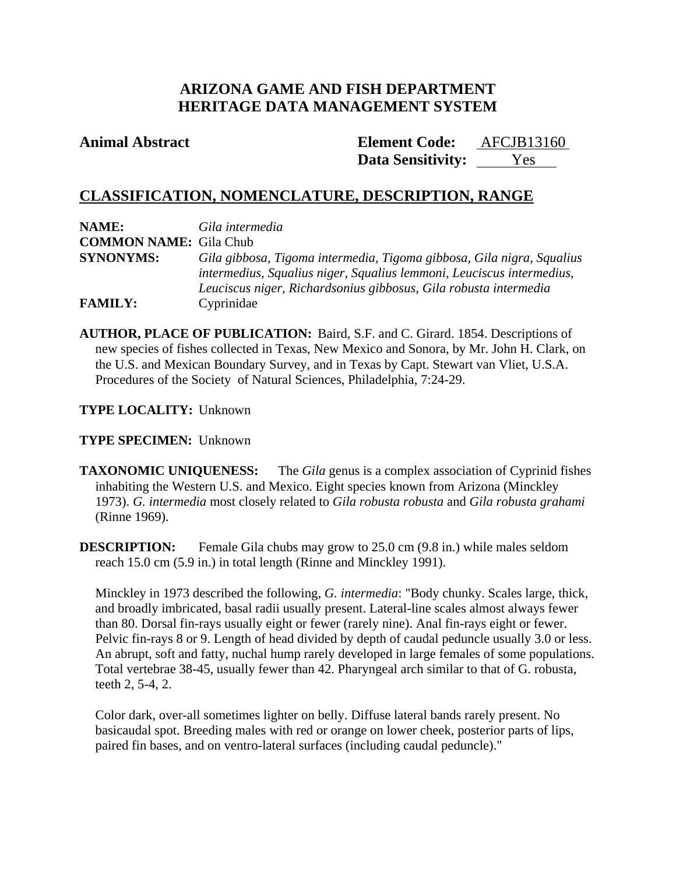# **ARIZONA GAME AND FISH DEPARTMENT HERITAGE DATA MANAGEMENT SYSTEM**

**Animal Abstract Element Code:** AFCJB13160 **Data Sensitivity:** Yes

# **CLASSIFICATION, NOMENCLATURE, DESCRIPTION, RANGE**

| NAME:                         | Gila intermedia                                                       |
|-------------------------------|-----------------------------------------------------------------------|
| <b>COMMON NAME:</b> Gila Chub |                                                                       |
| <b>SYNONYMS:</b>              | Gila gibbosa, Tigoma intermedia, Tigoma gibbosa, Gila nigra, Squalius |
|                               | intermedius, Squalius niger, Squalius lemmoni, Leuciscus intermedius, |
|                               | Leuciscus niger, Richardsonius gibbosus, Gila robusta intermedia      |
| <b>FAMILY:</b>                | Cyprinidae                                                            |

**AUTHOR, PLACE OF PUBLICATION:** Baird, S.F. and C. Girard. 1854. Descriptions of new species of fishes collected in Texas, New Mexico and Sonora, by Mr. John H. Clark, on the U.S. and Mexican Boundary Survey, and in Texas by Capt. Stewart van Vliet, U.S.A. Procedures of the Society of Natural Sciences, Philadelphia, 7:24-29.

# **TYPE LOCALITY:** Unknown

## **TYPE SPECIMEN:** Unknown

**TAXONOMIC UNIQUENESS:** The *Gila* genus is a complex association of Cyprinid fishes inhabiting the Western U.S. and Mexico. Eight species known from Arizona (Minckley 1973). *G. intermedia* most closely related to *Gila robusta robusta* and *Gila robusta grahami* (Rinne 1969).

**DESCRIPTION:** Female Gila chubs may grow to 25.0 cm (9.8 in.) while males seldom reach 15.0 cm (5.9 in.) in total length (Rinne and Minckley 1991).

Minckley in 1973 described the following, *G. intermedia*: "Body chunky. Scales large, thick, and broadly imbricated, basal radii usually present. Lateral-line scales almost always fewer than 80. Dorsal fin-rays usually eight or fewer (rarely nine). Anal fin-rays eight or fewer. Pelvic fin-rays 8 or 9. Length of head divided by depth of caudal peduncle usually 3.0 or less. An abrupt, soft and fatty, nuchal hump rarely developed in large females of some populations. Total vertebrae 38-45, usually fewer than 42. Pharyngeal arch similar to that of G. robusta, teeth 2, 5-4, 2.

Color dark, over-all sometimes lighter on belly. Diffuse lateral bands rarely present. No basicaudal spot. Breeding males with red or orange on lower cheek, posterior parts of lips, paired fin bases, and on ventro-lateral surfaces (including caudal peduncle)."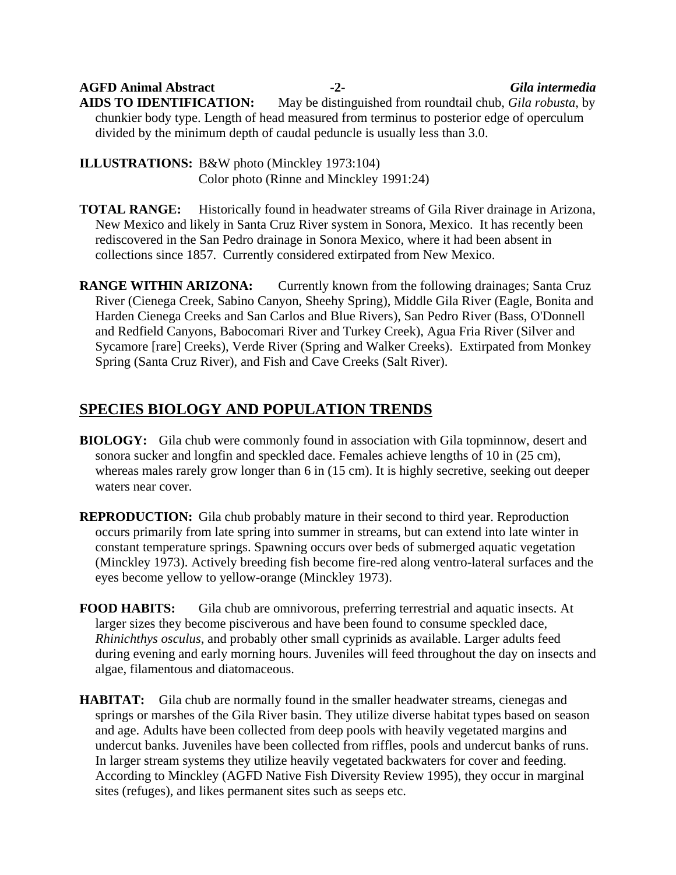**AGFD Animal Abstract -2-** *Gila intermedia* **AIDS TO IDENTIFICATION:** May be distinguished from roundtail chub, *Gila robusta*, by chunkier body type. Length of head measured from terminus to posterior edge of operculum divided by the minimum depth of caudal peduncle is usually less than 3.0.

**ILLUSTRATIONS:** B&W photo (Minckley 1973:104) Color photo (Rinne and Minckley 1991:24)

**TOTAL RANGE:** Historically found in headwater streams of Gila River drainage in Arizona, New Mexico and likely in Santa Cruz River system in Sonora, Mexico. It has recently been rediscovered in the San Pedro drainage in Sonora Mexico, where it had been absent in collections since 1857. Currently considered extirpated from New Mexico.

**RANGE WITHIN ARIZONA:** Currently known from the following drainages; Santa Cruz River (Cienega Creek, Sabino Canyon, Sheehy Spring), Middle Gila River (Eagle, Bonita and Harden Cienega Creeks and San Carlos and Blue Rivers), San Pedro River (Bass, O'Donnell and Redfield Canyons, Babocomari River and Turkey Creek), Agua Fria River (Silver and Sycamore [rare] Creeks), Verde River (Spring and Walker Creeks). Extirpated from Monkey Spring (Santa Cruz River), and Fish and Cave Creeks (Salt River).

# **SPECIES BIOLOGY AND POPULATION TRENDS**

- **BIOLOGY:** Gila chub were commonly found in association with Gila topminnow, desert and sonora sucker and longfin and speckled dace. Females achieve lengths of 10 in (25 cm), whereas males rarely grow longer than 6 in (15 cm). It is highly secretive, seeking out deeper waters near cover.
- **REPRODUCTION:** Gila chub probably mature in their second to third year. Reproduction occurs primarily from late spring into summer in streams, but can extend into late winter in constant temperature springs. Spawning occurs over beds of submerged aquatic vegetation (Minckley 1973). Actively breeding fish become fire-red along ventro-lateral surfaces and the eyes become yellow to yellow-orange (Minckley 1973).

**FOOD HABITS:** Gila chub are omnivorous, preferring terrestrial and aquatic insects. At larger sizes they become pisciverous and have been found to consume speckled dace, *Rhinichthys osculus*, and probably other small cyprinids as available. Larger adults feed during evening and early morning hours. Juveniles will feed throughout the day on insects and algae, filamentous and diatomaceous.

**HABITAT:** Gila chub are normally found in the smaller headwater streams, cienegas and springs or marshes of the Gila River basin. They utilize diverse habitat types based on season and age. Adults have been collected from deep pools with heavily vegetated margins and undercut banks. Juveniles have been collected from riffles, pools and undercut banks of runs. In larger stream systems they utilize heavily vegetated backwaters for cover and feeding. According to Minckley (AGFD Native Fish Diversity Review 1995), they occur in marginal sites (refuges), and likes permanent sites such as seeps etc.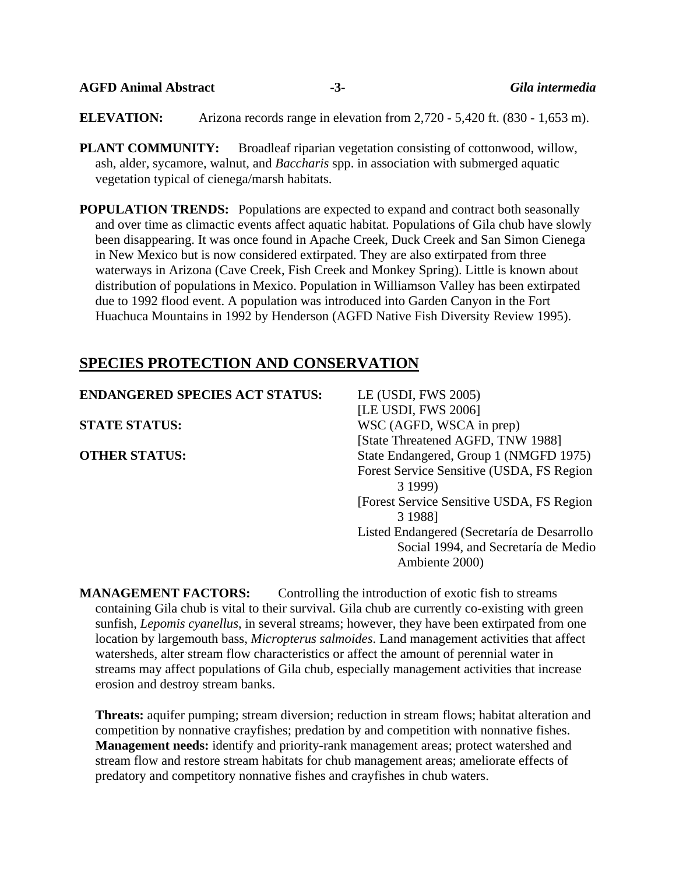| <b>AGFD Animal Abstract</b> |  |
|-----------------------------|--|
|-----------------------------|--|

**AGFD Animal Abstract -3-** *Gila intermedia*

**ELEVATION:** Arizona records range in elevation from 2,720 - 5,420 ft. (830 - 1,653 m).

**PLANT COMMUNITY:** Broadleaf riparian vegetation consisting of cottonwood, willow, ash, alder, sycamore, walnut, and *Baccharis* spp. in association with submerged aquatic vegetation typical of cienega/marsh habitats.

**POPULATION TRENDS:** Populations are expected to expand and contract both seasonally and over time as climactic events affect aquatic habitat. Populations of Gila chub have slowly been disappearing. It was once found in Apache Creek, Duck Creek and San Simon Cienega in New Mexico but is now considered extirpated. They are also extirpated from three waterways in Arizona (Cave Creek, Fish Creek and Monkey Spring). Little is known about distribution of populations in Mexico. Population in Williamson Valley has been extirpated due to 1992 flood event. A population was introduced into Garden Canyon in the Fort Huachuca Mountains in 1992 by Henderson (AGFD Native Fish Diversity Review 1995).

# **SPECIES PROTECTION AND CONSERVATION**

| <b>ENDANGERED SPECIES ACT STATUS:</b> | LE (USDI, FWS 2005)                                                                                   |
|---------------------------------------|-------------------------------------------------------------------------------------------------------|
|                                       | [LE USDI, FWS 2006]                                                                                   |
| <b>STATE STATUS:</b>                  | WSC (AGFD, WSCA in prep)                                                                              |
|                                       | [State Threatened AGFD, TNW 1988]                                                                     |
| <b>OTHER STATUS:</b>                  | State Endangered, Group 1 (NMGFD 1975)                                                                |
|                                       | Forest Service Sensitive (USDA, FS Region<br>3 1999)                                                  |
|                                       | [Forest Service Sensitive USDA, FS Region]<br>3 1988]                                                 |
|                                       | Listed Endangered (Secretaría de Desarrollo<br>Social 1994, and Secretaría de Medio<br>Ambiente 2000) |

**MANAGEMENT FACTORS:** Controlling the introduction of exotic fish to streams containing Gila chub is vital to their survival. Gila chub are currently co-existing with green sunfish, *Lepomis cyanellus*, in several streams; however, they have been extirpated from one location by largemouth bass, *Micropterus salmoides*. Land management activities that affect watersheds, alter stream flow characteristics or affect the amount of perennial water in streams may affect populations of Gila chub, especially management activities that increase erosion and destroy stream banks.

**Threats:** aquifer pumping; stream diversion; reduction in stream flows; habitat alteration and competition by nonnative crayfishes; predation by and competition with nonnative fishes. **Management needs:** identify and priority-rank management areas; protect watershed and stream flow and restore stream habitats for chub management areas; ameliorate effects of predatory and competitory nonnative fishes and crayfishes in chub waters.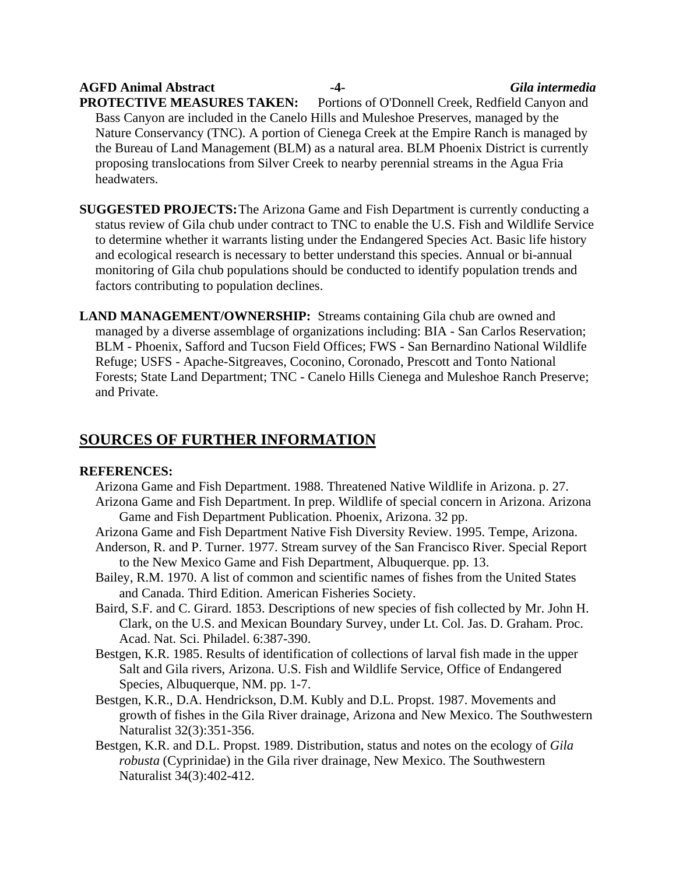**AGFD Animal Abstract -4-** *Gila intermedia* **PROTECTIVE MEASURES TAKEN:** Portions of O'Donnell Creek, Redfield Canyon and Bass Canyon are included in the Canelo Hills and Muleshoe Preserves, managed by the Nature Conservancy (TNC). A portion of Cienega Creek at the Empire Ranch is managed by the Bureau of Land Management (BLM) as a natural area. BLM Phoenix District is currently proposing translocations from Silver Creek to nearby perennial streams in the Agua Fria headwaters.

- **SUGGESTED PROJECTS:** The Arizona Game and Fish Department is currently conducting a status review of Gila chub under contract to TNC to enable the U.S. Fish and Wildlife Service to determine whether it warrants listing under the Endangered Species Act. Basic life history and ecological research is necessary to better understand this species. Annual or bi-annual monitoring of Gila chub populations should be conducted to identify population trends and factors contributing to population declines.
- **LAND MANAGEMENT/OWNERSHIP:** Streams containing Gila chub are owned and managed by a diverse assemblage of organizations including: BIA - San Carlos Reservation; BLM - Phoenix, Safford and Tucson Field Offices; FWS - San Bernardino National Wildlife Refuge; USFS - Apache-Sitgreaves, Coconino, Coronado, Prescott and Tonto National Forests; State Land Department; TNC - Canelo Hills Cienega and Muleshoe Ranch Preserve; and Private.

# **SOURCES OF FURTHER INFORMATION**

## **REFERENCES:**

- Arizona Game and Fish Department. 1988. Threatened Native Wildlife in Arizona. p. 27. Arizona Game and Fish Department. In prep. Wildlife of special concern in Arizona. Arizona Game and Fish Department Publication. Phoenix, Arizona. 32 pp.
- Arizona Game and Fish Department Native Fish Diversity Review. 1995. Tempe, Arizona.
- Anderson, R. and P. Turner. 1977. Stream survey of the San Francisco River. Special Report to the New Mexico Game and Fish Department, Albuquerque. pp. 13.
- Bailey, R.M. 1970. A list of common and scientific names of fishes from the United States and Canada. Third Edition. American Fisheries Society.
- Baird, S.F. and C. Girard. 1853. Descriptions of new species of fish collected by Mr. John H. Clark, on the U.S. and Mexican Boundary Survey, under Lt. Col. Jas. D. Graham. Proc. Acad. Nat. Sci. Philadel. 6:387-390.
- Bestgen, K.R. 1985. Results of identification of collections of larval fish made in the upper Salt and Gila rivers, Arizona. U.S. Fish and Wildlife Service, Office of Endangered Species, Albuquerque, NM. pp. 1-7.
- Bestgen, K.R., D.A. Hendrickson, D.M. Kubly and D.L. Propst. 1987. Movements and growth of fishes in the Gila River drainage, Arizona and New Mexico. The Southwestern Naturalist 32(3):351-356.
- Bestgen, K.R. and D.L. Propst. 1989. Distribution, status and notes on the ecology of *Gila robusta* (Cyprinidae) in the Gila river drainage, New Mexico. The Southwestern Naturalist 34(3):402-412.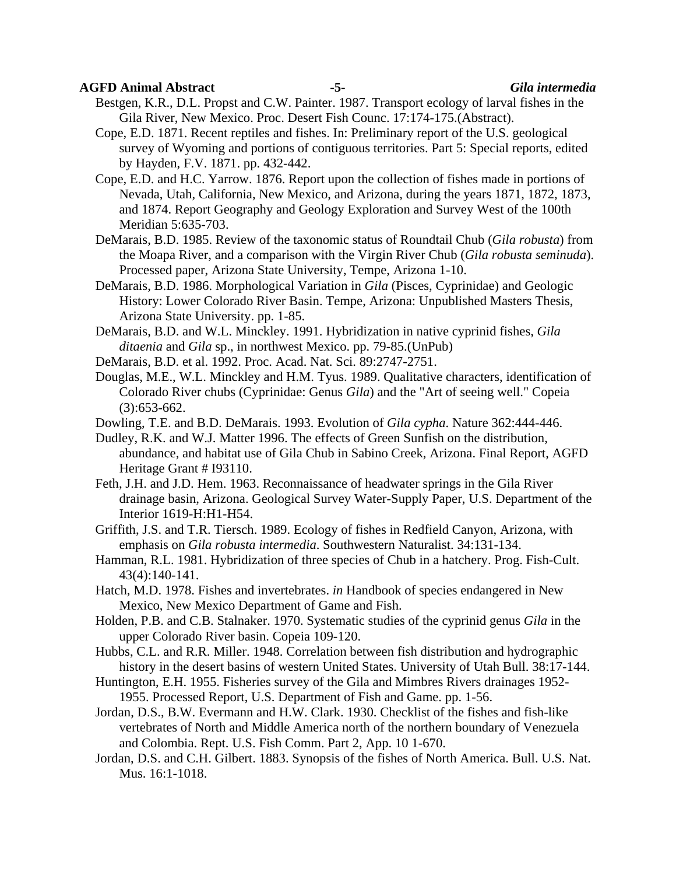## **AGFD Animal Abstract -5-** *Gila intermedia*

Bestgen, K.R., D.L. Propst and C.W. Painter. 1987. Transport ecology of larval fishes in the Gila River, New Mexico. Proc. Desert Fish Counc. 17:174-175.(Abstract).

- Cope, E.D. 1871. Recent reptiles and fishes. In: Preliminary report of the U.S. geological survey of Wyoming and portions of contiguous territories. Part 5: Special reports, edited by Hayden, F.V. 1871. pp. 432-442.
- Cope, E.D. and H.C. Yarrow. 1876. Report upon the collection of fishes made in portions of Nevada, Utah, California, New Mexico, and Arizona, during the years 1871, 1872, 1873, and 1874. Report Geography and Geology Exploration and Survey West of the 100th Meridian 5:635-703.
- DeMarais, B.D. 1985. Review of the taxonomic status of Roundtail Chub (*Gila robusta*) from the Moapa River, and a comparison with the Virgin River Chub (*Gila robusta seminuda*). Processed paper, Arizona State University, Tempe, Arizona 1-10.
- DeMarais, B.D. 1986. Morphological Variation in *Gila* (Pisces, Cyprinidae) and Geologic History: Lower Colorado River Basin. Tempe, Arizona: Unpublished Masters Thesis, Arizona State University. pp. 1-85.
- DeMarais, B.D. and W.L. Minckley. 1991. Hybridization in native cyprinid fishes, *Gila ditaenia* and *Gila* sp., in northwest Mexico. pp. 79-85.(UnPub)
- DeMarais, B.D. et al. 1992. Proc. Acad. Nat. Sci. 89:2747-2751.
- Douglas, M.E., W.L. Minckley and H.M. Tyus. 1989. Qualitative characters, identification of Colorado River chubs (Cyprinidae: Genus *Gila*) and the "Art of seeing well." Copeia (3):653-662.
- Dowling, T.E. and B.D. DeMarais. 1993. Evolution of *Gila cypha*. Nature 362:444-446.
- Dudley, R.K. and W.J. Matter 1996. The effects of Green Sunfish on the distribution, abundance, and habitat use of Gila Chub in Sabino Creek, Arizona. Final Report, AGFD Heritage Grant # I93110.
- Feth, J.H. and J.D. Hem. 1963. Reconnaissance of headwater springs in the Gila River drainage basin, Arizona. Geological Survey Water-Supply Paper, U.S. Department of the Interior 1619-H:H1-H54.
- Griffith, J.S. and T.R. Tiersch. 1989. Ecology of fishes in Redfield Canyon, Arizona, with emphasis on *Gila robusta intermedia*. Southwestern Naturalist. 34:131-134.
- Hamman, R.L. 1981. Hybridization of three species of Chub in a hatchery. Prog. Fish-Cult. 43(4):140-141.
- Hatch, M.D. 1978. Fishes and invertebrates. *in* Handbook of species endangered in New Mexico, New Mexico Department of Game and Fish.
- Holden, P.B. and C.B. Stalnaker. 1970. Systematic studies of the cyprinid genus *Gila* in the upper Colorado River basin. Copeia 109-120.
- Hubbs, C.L. and R.R. Miller. 1948. Correlation between fish distribution and hydrographic history in the desert basins of western United States. University of Utah Bull. 38:17-144.
- Huntington, E.H. 1955. Fisheries survey of the Gila and Mimbres Rivers drainages 1952- 1955. Processed Report, U.S. Department of Fish and Game. pp. 1-56.
- Jordan, D.S., B.W. Evermann and H.W. Clark. 1930. Checklist of the fishes and fish-like vertebrates of North and Middle America north of the northern boundary of Venezuela and Colombia. Rept. U.S. Fish Comm. Part 2, App. 10 1-670.
- Jordan, D.S. and C.H. Gilbert. 1883. Synopsis of the fishes of North America. Bull. U.S. Nat. Mus. 16:1-1018.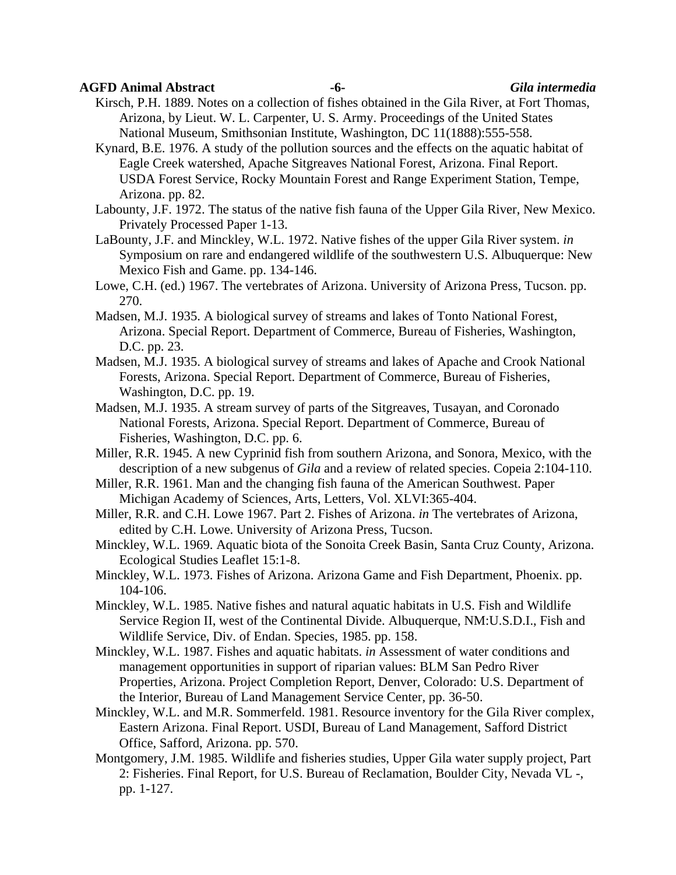## **AGFD Animal Abstract -6-** *Gila intermedia*

Kirsch, P.H. 1889. Notes on a collection of fishes obtained in the Gila River, at Fort Thomas, Arizona, by Lieut. W. L. Carpenter, U. S. Army. Proceedings of the United States National Museum, Smithsonian Institute, Washington, DC 11(1888):555-558.

Kynard, B.E. 1976. A study of the pollution sources and the effects on the aquatic habitat of Eagle Creek watershed, Apache Sitgreaves National Forest, Arizona. Final Report. USDA Forest Service, Rocky Mountain Forest and Range Experiment Station, Tempe, Arizona. pp. 82.

Labounty, J.F. 1972. The status of the native fish fauna of the Upper Gila River, New Mexico. Privately Processed Paper 1-13.

LaBounty, J.F. and Minckley, W.L. 1972. Native fishes of the upper Gila River system. *in* Symposium on rare and endangered wildlife of the southwestern U.S. Albuquerque: New Mexico Fish and Game. pp. 134-146.

Lowe, C.H. (ed.) 1967. The vertebrates of Arizona. University of Arizona Press, Tucson. pp. 270.

- Madsen, M.J. 1935. A biological survey of streams and lakes of Tonto National Forest, Arizona. Special Report. Department of Commerce, Bureau of Fisheries, Washington, D.C. pp. 23.
- Madsen, M.J. 1935. A biological survey of streams and lakes of Apache and Crook National Forests, Arizona. Special Report. Department of Commerce, Bureau of Fisheries, Washington, D.C. pp. 19.
- Madsen, M.J. 1935. A stream survey of parts of the Sitgreaves, Tusayan, and Coronado National Forests, Arizona. Special Report. Department of Commerce, Bureau of Fisheries, Washington, D.C. pp. 6.
- Miller, R.R. 1945. A new Cyprinid fish from southern Arizona, and Sonora, Mexico, with the description of a new subgenus of *Gila* and a review of related species. Copeia 2:104-110.
- Miller, R.R. 1961. Man and the changing fish fauna of the American Southwest. Paper Michigan Academy of Sciences, Arts, Letters, Vol. XLVI:365-404.

Miller, R.R. and C.H. Lowe 1967. Part 2. Fishes of Arizona. *in* The vertebrates of Arizona, edited by C.H. Lowe. University of Arizona Press, Tucson.

Minckley, W.L. 1969. Aquatic biota of the Sonoita Creek Basin, Santa Cruz County, Arizona. Ecological Studies Leaflet 15:1-8.

Minckley, W.L. 1973. Fishes of Arizona. Arizona Game and Fish Department, Phoenix. pp. 104-106.

- Minckley, W.L. 1985. Native fishes and natural aquatic habitats in U.S. Fish and Wildlife Service Region II, west of the Continental Divide. Albuquerque, NM:U.S.D.I., Fish and Wildlife Service, Div. of Endan. Species, 1985. pp. 158.
- Minckley, W.L. 1987. Fishes and aquatic habitats. *in* Assessment of water conditions and management opportunities in support of riparian values: BLM San Pedro River Properties, Arizona. Project Completion Report, Denver, Colorado: U.S. Department of the Interior, Bureau of Land Management Service Center, pp. 36-50.

Minckley, W.L. and M.R. Sommerfeld. 1981. Resource inventory for the Gila River complex, Eastern Arizona. Final Report. USDI, Bureau of Land Management, Safford District Office, Safford, Arizona. pp. 570.

Montgomery, J.M. 1985. Wildlife and fisheries studies, Upper Gila water supply project, Part 2: Fisheries. Final Report, for U.S. Bureau of Reclamation, Boulder City, Nevada VL -, pp. 1-127.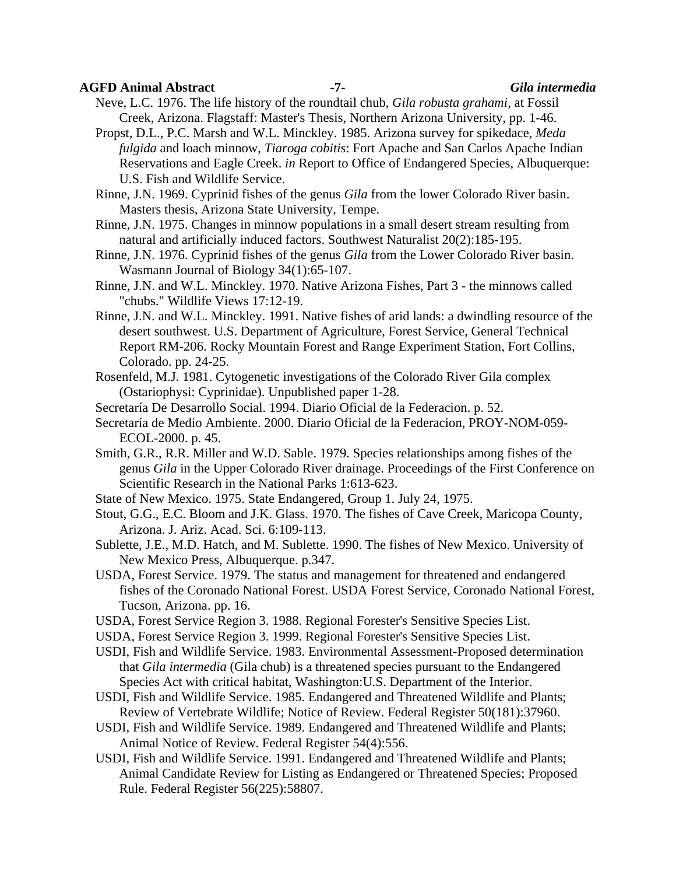## **AGFD Animal Abstract -7-** *Gila intermedia*

Neve, L.C. 1976. The life history of the roundtail chub, *Gila robusta grahami*, at Fossil Creek, Arizona. Flagstaff: Master's Thesis, Northern Arizona University, pp. 1-46.

Propst, D.L., P.C. Marsh and W.L. Minckley. 1985. Arizona survey for spikedace, *Meda fulgida* and loach minnow, *Tiaroga cobitis*: Fort Apache and San Carlos Apache Indian Reservations and Eagle Creek. *in* Report to Office of Endangered Species, Albuquerque: U.S. Fish and Wildlife Service.

Rinne, J.N. 1969. Cyprinid fishes of the genus *Gila* from the lower Colorado River basin. Masters thesis, Arizona State University, Tempe.

Rinne, J.N. 1975. Changes in minnow populations in a small desert stream resulting from natural and artificially induced factors. Southwest Naturalist 20(2):185-195.

Rinne, J.N. 1976. Cyprinid fishes of the genus *Gila* from the Lower Colorado River basin. Wasmann Journal of Biology 34(1):65-107.

Rinne, J.N. and W.L. Minckley. 1970. Native Arizona Fishes, Part 3 - the minnows called "chubs." Wildlife Views 17:12-19.

Rinne, J.N. and W.L. Minckley. 1991. Native fishes of arid lands: a dwindling resource of the desert southwest. U.S. Department of Agriculture, Forest Service, General Technical Report RM-206. Rocky Mountain Forest and Range Experiment Station, Fort Collins, Colorado. pp. 24-25.

Rosenfeld, M.J. 1981. Cytogenetic investigations of the Colorado River Gila complex (Ostariophysi: Cyprinidae). Unpublished paper 1-28.

Secretaría De Desarrollo Social. 1994. Diario Oficial de la Federacion. p. 52.

- Secretaría de Medio Ambiente. 2000. Diario Oficial de la Federacion, PROY-NOM-059- ECOL-2000. p. 45.
- Smith, G.R., R.R. Miller and W.D. Sable. 1979. Species relationships among fishes of the genus *Gila* in the Upper Colorado River drainage. Proceedings of the First Conference on Scientific Research in the National Parks 1:613-623.
- State of New Mexico. 1975. State Endangered, Group 1. July 24, 1975.
- Stout, G.G., E.C. Bloom and J.K. Glass. 1970. The fishes of Cave Creek, Maricopa County, Arizona. J. Ariz. Acad. Sci. 6:109-113.

Sublette, J.E., M.D. Hatch, and M. Sublette. 1990. The fishes of New Mexico. University of New Mexico Press, Albuquerque. p.347.

- USDA, Forest Service. 1979. The status and management for threatened and endangered fishes of the Coronado National Forest. USDA Forest Service, Coronado National Forest, Tucson, Arizona. pp. 16.
- USDA, Forest Service Region 3. 1988. Regional Forester's Sensitive Species List.
- USDA, Forest Service Region 3. 1999. Regional Forester's Sensitive Species List.
- USDI, Fish and Wildlife Service. 1983. Environmental Assessment-Proposed determination that *Gila intermedia* (Gila chub) is a threatened species pursuant to the Endangered Species Act with critical habitat, Washington:U.S. Department of the Interior.
- USDI, Fish and Wildlife Service. 1985. Endangered and Threatened Wildlife and Plants; Review of Vertebrate Wildlife; Notice of Review. Federal Register 50(181):37960.
- USDI, Fish and Wildlife Service. 1989. Endangered and Threatened Wildlife and Plants; Animal Notice of Review. Federal Register 54(4):556.
- USDI, Fish and Wildlife Service. 1991. Endangered and Threatened Wildlife and Plants; Animal Candidate Review for Listing as Endangered or Threatened Species; Proposed Rule. Federal Register 56(225):58807.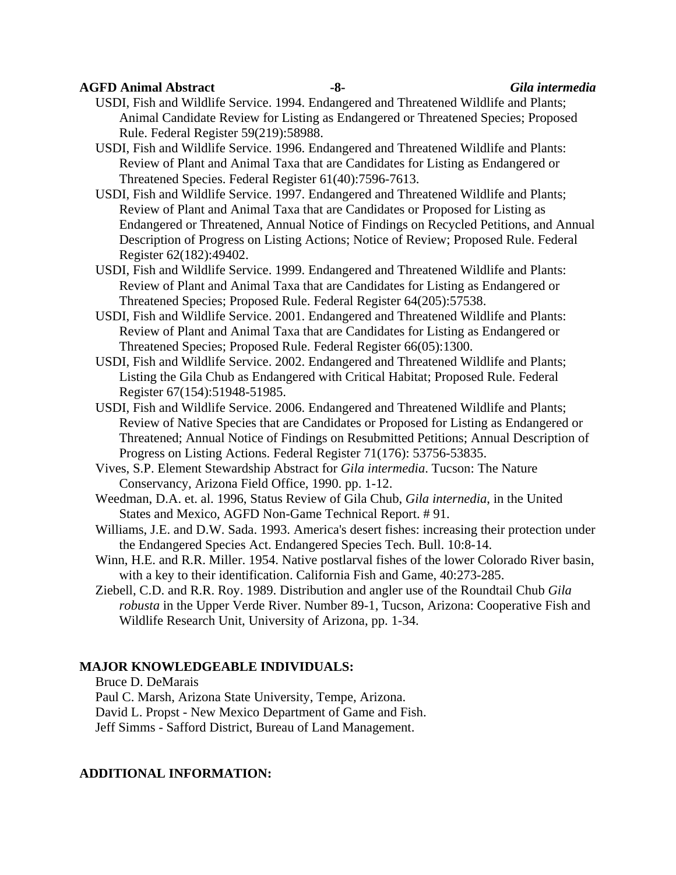#### **AGFD Animal Abstract -8-** *Gila intermedia*

USDI, Fish and Wildlife Service. 1994. Endangered and Threatened Wildlife and Plants; Animal Candidate Review for Listing as Endangered or Threatened Species; Proposed Rule. Federal Register 59(219):58988.

USDI, Fish and Wildlife Service. 1996. Endangered and Threatened Wildlife and Plants: Review of Plant and Animal Taxa that are Candidates for Listing as Endangered or Threatened Species. Federal Register 61(40):7596-7613.

USDI, Fish and Wildlife Service. 1997. Endangered and Threatened Wildlife and Plants; Review of Plant and Animal Taxa that are Candidates or Proposed for Listing as Endangered or Threatened, Annual Notice of Findings on Recycled Petitions, and Annual Description of Progress on Listing Actions; Notice of Review; Proposed Rule. Federal Register 62(182):49402.

USDI, Fish and Wildlife Service. 1999. Endangered and Threatened Wildlife and Plants: Review of Plant and Animal Taxa that are Candidates for Listing as Endangered or Threatened Species; Proposed Rule. Federal Register 64(205):57538.

USDI, Fish and Wildlife Service. 2001. Endangered and Threatened Wildlife and Plants: Review of Plant and Animal Taxa that are Candidates for Listing as Endangered or Threatened Species; Proposed Rule. Federal Register 66(05):1300.

USDI, Fish and Wildlife Service. 2002. Endangered and Threatened Wildlife and Plants; Listing the Gila Chub as Endangered with Critical Habitat; Proposed Rule. Federal Register 67(154):51948-51985.

- USDI, Fish and Wildlife Service. 2006. Endangered and Threatened Wildlife and Plants; Review of Native Species that are Candidates or Proposed for Listing as Endangered or Threatened; Annual Notice of Findings on Resubmitted Petitions; Annual Description of Progress on Listing Actions. Federal Register 71(176): 53756-53835.
- Vives, S.P. Element Stewardship Abstract for *Gila intermedia*. Tucson: The Nature Conservancy, Arizona Field Office, 1990. pp. 1-12.

 Weedman, D.A. et. al. 1996, Status Review of Gila Chub, *Gila internedia*, in the United States and Mexico, AGFD Non-Game Technical Report. # 91.

Williams, J.E. and D.W. Sada. 1993. America's desert fishes: increasing their protection under the Endangered Species Act. Endangered Species Tech. Bull. 10:8-14.

Winn, H.E. and R.R. Miller. 1954. Native postlarval fishes of the lower Colorado River basin, with a key to their identification. California Fish and Game, 40:273-285.

Ziebell, C.D. and R.R. Roy. 1989. Distribution and angler use of the Roundtail Chub *Gila robusta* in the Upper Verde River. Number 89-1, Tucson, Arizona: Cooperative Fish and Wildlife Research Unit, University of Arizona, pp. 1-34.

## **MAJOR KNOWLEDGEABLE INDIVIDUALS:**

Bruce D. DeMarais

Paul C. Marsh, Arizona State University, Tempe, Arizona.

David L. Propst - New Mexico Department of Game and Fish.

Jeff Simms - Safford District, Bureau of Land Management.

#### **ADDITIONAL INFORMATION:**